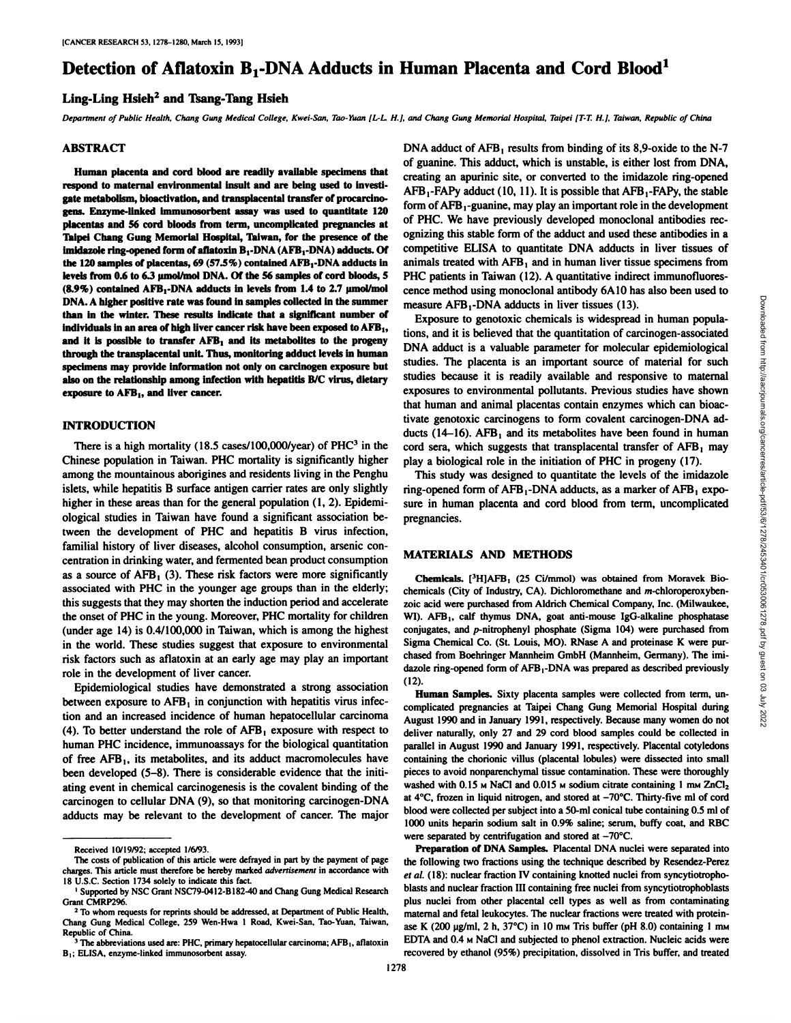# **Detection of Aflatoxin B,-DNA Adducts in Human Placenta and Cord Blood1**

## **Ling-Ling Hsieh2 and Tsang-Tang Hsieh**

Department of Public Health, Chang Gung Medical College, Kwei-San, Tao-Yuan [L-L. H.], and Chang Gung Memorial Hospital, Taipei [T-T. H.], Taiwan, Republic of China

## **ABSTRACT**

**Human placenta and cord blood are readily available specimens that respond to maternal environmental insult and are being used to investi gate metabolism, bioactivation, and transplacental transfer of procarcinogens. Enzyme-linked immunosorbent assay was used to quantitate 120 placentas and 56 cord bloods from term, uncomplicated pregnancies at Taipei Chang Gung Memorial Hospital, Taiwan, for the presence of the imidazole ring-opened form of aflatoxin B,-DNA (AFB,-DNA) adducts. Of the 120 samples of placentas, 69 (57.5%) contained AFB,-DNA adducts in levels from 0.6 to 6.3 umol/mol DNA. Of the 56 samples of cord bloods, 5**  $(8.9\%)$  contained AFB<sub>1</sub>-DNA adducts in levels from 1.4 to 2.7  $\mu$ mol/mol **DNA. A higher positive rate was found in samples collected in the summer than in the winter. These results indicate that a significant number of individuals** in an area of high liver cancer risk have been exposed to  $AFB<sub>1</sub>$ , **and it is possible to transfer AKB, and its metabolites to the progeny through the transplacental unit Thus, monitoring adduct levels in human specimens may provide information not only on carcinogen exposure but also on the relationship among infection with hepatitis B/C virus, dietary exposure to AHI,, and liver cancer.**

### **INTRODUCTION**

There is a high mortality (18.5 cases/100,000/year) of  $PHC<sup>3</sup>$  in the Chinese population in Taiwan. PHC mortality is significantly higher among the mountainous aborigines and residents living in the Penghu islets, while hepatitis B surface antigen carrier rates are only slightly higher in these areas than for the general population (1, 2). Epidemiological studies in Taiwan have found a significant association be tween the development of PHC and hepatitis B virus infection, familial history of liver diseases, alcohol consumption, arsenic con centration in drinking water, and fermented bean product consumption as a source of  $AFB<sub>1</sub>$  (3). These risk factors were more significantly associated with PHC in the younger age groups than in the elderly; this suggests that they may shorten the induction period and accelerate the onset of PHC in the young. Moreover, PHC mortality for children (under age 14) is 0.4/100,000 in Taiwan, which is among the highest in the world. These studies suggest that exposure to environmental risk factors such as aflatoxin at an early age may play an important role in the development of liver cancer.

Epidemiological studies have demonstrated a strong association between exposure to  $AFB<sub>1</sub>$  in conjunction with hepatitis virus infection and an increased incidence of human hepatocellular carcinoma (4). To better understand the role of  $AFB<sub>1</sub>$  exposure with respect to human PHC incidence, immunoassays for the biological quantitation of free AFB,, its metabolites, and its adduct macromolecules have been developed (5-8). There is considerable evidence that the initi ating event in chemical carcinogenesis is the covalent binding of the carcinogen to cellular DNA (9), so that monitoring carcinogen-DNA adducts may be relevant to the development of cancer. The major

DNA adduct of AFB, results from binding of its 8,9-oxide to the N-7 of guanine. This adduct, which is unstable, is either lost from DNA, creating an apurinic site, or converted to the imidazole ring-opened AFB,-FAPy adduct (10, 11). It is possible that AFB,-FAPy, the stable form of  $AFB_1$ -guanine, may play an important role in the development of PHC. We have previously developed monoclonal antibodies rec ognizing this stable form of the adduct and used these antibodies in a competitive ELISA to quantitate DNA adducts in liver tissues of animals treated with  $AFB<sub>1</sub>$  and in human liver tissue specimens from PHC patients in Taiwan (12). A quantitative indirect immunofluoresmeasure AFB<sub>1</sub>-DNA adducts in liver tissues (13).

cence method using monoclonal antibody 6A10 has also been used to<br>measure AFB<sub>1</sub>-DNA adducts in liver tissues (13).<br>Exposure to genotoxic chemicals is widespread in human popula-<br>tions, and it is believed that the quantit Exposure to genotoxic chemicals is widespread in human popula tions, and it is believed that the quantitation of carcinogen-associated DNA adduct is a valuable parameter for molecular epidemiological studies. The placenta is an important source of material for such studies because it is readily available and responsive to maternal exposures to environmental pollutants. Previous studies have shown that human and animal placentas contain enzymes which can bioactivate genotoxic carcinogens to form covalent carcinogen-DNA ad ducts (14-16).  $AFB<sub>1</sub>$  and its metabolites have been found in human cord sera, which suggests that transplacental transfer of AFB, may play a biological role in the initiation of PHC in progeny (17).

This study was designed to quantitate the levels of the imidazole ring-opened form of AFB,-DNA adducts, as a marker of AFB, expo sure in human placenta and cord blood from term, uncomplicated pregnancies.

#### **MATERIALS AND METHODS**

**Chemicals. [3H1AFB, (25 Ci/mmol) was obtained from Moravek Bio**chemicals (City of Industry, CA). Dichloromethane and m-chloroperoxybenzoic acid were purchased from Aldrich Chemical Company, Inc. (Milwaukee, WI). AFB<sub>1</sub>, calf thymus DNA, goat anti-mouse IgG-alkaline phosphatase conjugates, and p-nitrophenyl phosphate (Sigma 104) were purchased from Sigma Chemical Co. (St. Louis, MO). RNase A and proteinase K were pur chased from Boehringer Mannheim GmbH (Mannheim, Germany). The imi dazole ring-opened form of AFB<sub>1</sub>-DNA was prepared as described previously  $(12)$ 

**Human Samples. Sixty placenta samples were collected from term, un** complicated pregnancies at Taipei Chang Gung Memorial Hospital during August 1990 and in January 1991, respectively. Because many women do not deliver naturally, only 27 and 29 cord blood samples could be collected in parallel in August 1990 and January 1991, respectively. Placental cotyledons containing the chorionic villus (placental lobules) were dissected into small pieces to avoid nonparenchymal tissue contamination. These were thoroughly washed with  $0.15$  MNaCl and  $0.015$  M sodium citrate containing 1 mM  $ZnCl<sub>2</sub>$ at  $4^{\circ}$ C, frozen in liquid nitrogen, and stored at  $-70^{\circ}$ C. Thirty-five ml of cord blood were collected per subject into a 50-ml conical tube containing 0.5 ml of 1000 units heparin sodium salt in 0.9% saline; serum, buffy coat, and RBC were separated by centrifugation and stored at  $-70^{\circ}$ C.

**Preparation of DNA Samples. Placenta! DNA nuclei were separated into** the following two fractions using the technique described by Resendez-Perez *et al. (18): nuclear fraction IV containing knotted nuclei from syncytiotropho*blasts and nuclear fraction III containing free nuclei from syncytiotrophoblasts plus nuclei from other placental cell types as well as from contaminating maternal and fetal leukocytes. The nuclear fractions were treated with protein ase K (200  $\mu$ g/ml, 2 h, 37°C) in 10 mm Tris buffer (pH 8.0) containing 1 mm EDTA and 0.4 M NaCl and subjected to phenol extraction. Nucleic acids were recovered by ethanol (95%) precipitation, dissolved in Tris buffer, and treated

Received 10/19/92; accepted 1/6/93.

The costs of publication of this article were defrayed in part by the payment of page charges. This article must therefore be hereby marked *advertisement* in accordance with 18 U.S.C. Section 1734 solely to indicate this fact.

<sup>&#</sup>x27; Supported by NSC Grant NSC79-0412-B182-40 and Chang Gung Medical Research Grant CMRP296. *<sup>2</sup> To whom requests for reprints should be addressed, at Department of Public Health,*

Chang Gung Medical College, 259 Wen-Hwa 1 Road, Kwei-San, Tao-Yuan, Taiwan, Republic of China.

<sup>&</sup>lt;sup>3</sup> The abbreviations used are: PHC, primary hepatocellular carcinoma; AFB<sub>1</sub>, aflatoxin B,; ELISA, enzyme-linked immunosorbent assay.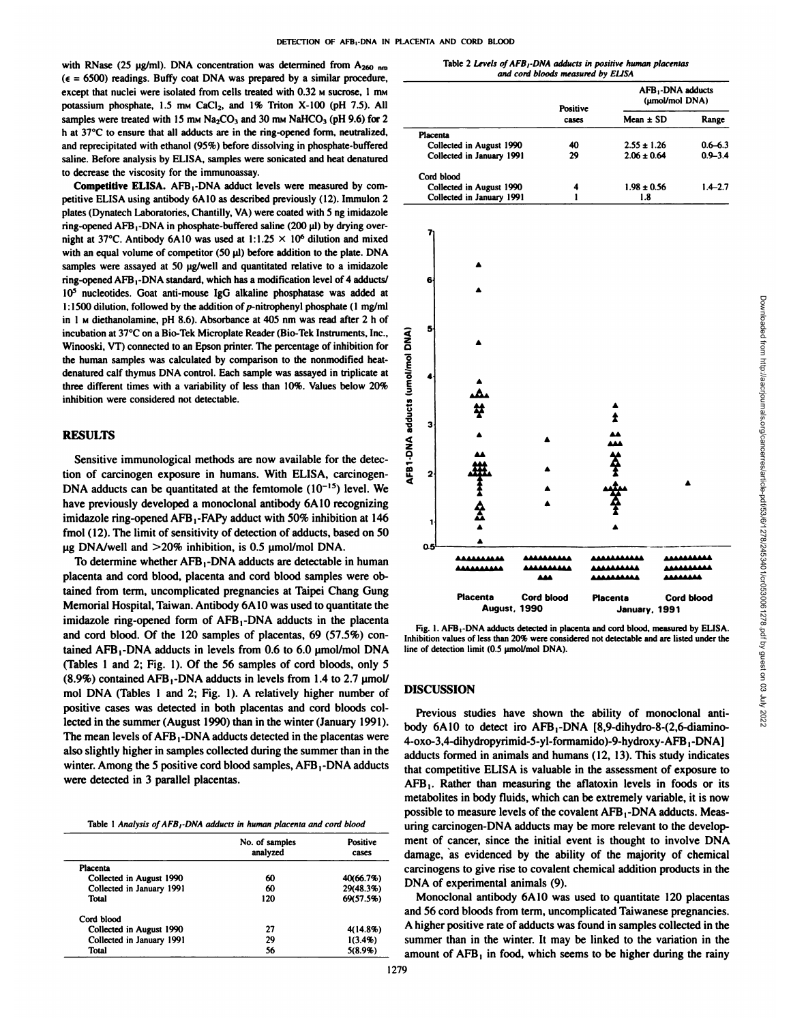with RNase (25  $\mu$ g/ml). DNA concentration was determined from A<sub>260 nm</sub>  $(\epsilon = 6500)$  readings. Buffy coat DNA was prepared by a similar procedure, except that nuclei were isolated from cells treated with  $0.32$  M sucrose, 1 mM potassium phosphate, 1.5 mm CaCl<sub>2</sub>, and 1% Triton X-100 (pH 7.5). All samples were treated with 15 mm  $Na<sub>2</sub>CO<sub>3</sub>$  and 30 mm  $NaHCO<sub>3</sub>$  (pH 9.6) for 2 h at 37°C to ensure that all adducts are in the ring-opened form, neutralized, and reprecipitated with ethanol (95%) before dissolving in phosphate-buffered saline. Before analysis by ELISA, samples were sonicated and heat denatured to decrease the viscosity for the immunoassay.

Competitive ELISA. AFB,-DNA adduci levels were measured by com petitive ELISA using antibody 6A10 as described previously (12). Immulon 2 plates (Dynatech Laboratories, Chantilly, VA) were coated with 5 ng imidazole ring-opened AFB<sub>1</sub>-DNA in phosphate-buffered saline (200  $\mu$ l) by drying overnight at 37°C. Antibody 6A10 was used at 1:1.25  $\times$  10<sup>6</sup> dilution and mixed with an equal volume of competitor (50  $\mu$ ) before addition to the plate. DNA samples were assayed at 50 ug/well and quantitated relative to a imidazole ring-opened AFB i-DNA standard, which has a modification level of 4 adducts/ 10<sup>5</sup> nucleotides. Goat anti-mouse IgG alkaline phosphatase was added at 1:1500 dilution, followed by the addition of  $p$ -nitrophenyl phosphate (1 mg/ml in 1 M diethanolamine, pH 8.6). Absorbance at 405 nm was read after 2 h of incubation at 37°C on a Bio-Tek Microplate Reader (Bio-Tek Instruments, Inc., Winooski, VT) connected to an Epson printer. The percentage of inhibition for the human samples was calculated by comparison to the nonmodified heatdenatured calf thymus DNA control.Each sample was assayed in triplicate at three different times with a variability of less than 10%. Values below 20% inhibition were considered not detectable.

## **RESULTS**

Sensitive immunological methods are now available for the detec tion of carcinogen exposure in humans. With ELISA, carcinogen-DNA adducts can be quantitated at the femtomole  $(10^{-15})$  level. We have previously developed a monoclonal antibody 6A10 recognizing imidazole ring-opened AFB<sub>1</sub>-FAPy adduct with 50% inhibition at 146  $\frac{1}{1}$ fmol (12). The limit of sensitivity of detection of adducts, based on 50  $\mu$ g DNA/well and  $>$ 20% inhibition, is 0.5  $\mu$ mol/mol DNA.

To determine whether AFB,-DNA adducts are detectable in human placenta and cord blood, placenta and cord blood samples were ob tained from term, uncomplicated pregnancies at Taipei Chang Gung Memorial Hospital, Taiwan. Antibody 6A10 was used to quantitate the imidazole ring-opened form of AFB,-DNA adducts in the placenta and cord blood. Of the 120 samples of placentas, 69 (57.5%) con tained AFB,-DNA adducts in levels from 0.6 to 6.0 umol/mol DNA (Tables 1 and 2; Fig. 1). Of the 56 samples of cord bloods, only 5  $(8.9\%)$  contained AFB<sub>1</sub>-DNA adducts in levels from 1.4 to 2.7  $\mu$ mol/ mol DNA (Tables 1 and 2; Fig. 1). A relatively higher number of positive cases was detected in both placentas and cord bloods col lected in the summer (August 1990) than in the winter (January 1991). The mean levels of AFB,-DNA adducts detected in the placentas were also slightly higher in samples collected during the summer than in the winter. Among the 5 positive cord blood samples, AFB<sub>1</sub>-DNA adducts were detected in 3 parallel placentas.

Table 1 Analysis of AFB<sub>1</sub>-DNA adducts in human placenta and cord blood

|                           | No. of samples<br>analyzed | Positive<br>cases |  |
|---------------------------|----------------------------|-------------------|--|
| Placenta                  |                            |                   |  |
| Collected in August 1990  | 60                         | 40(66.7%)         |  |
| Collected in January 1991 | 60                         | 29(48.3%)         |  |
| Total                     | 120                        | 69(57.5%)         |  |
| Cord blood                |                            |                   |  |
| Collected in August 1990  | 27                         | 4(14.8%)          |  |
| Collected in January 1991 | 29                         | 1(3.4%)           |  |
| Total                     | 56                         | 5(8.9%)           |  |

|                                 |              |                                                                                                                                                                                                                                            | Positive         |                 | AFB <sub>1</sub> -DNA adducts<br>(µmol/mol DNA) |                                 |                            |  |
|---------------------------------|--------------|--------------------------------------------------------------------------------------------------------------------------------------------------------------------------------------------------------------------------------------------|------------------|-----------------|-------------------------------------------------|---------------------------------|----------------------------|--|
|                                 |              |                                                                                                                                                                                                                                            | cases            |                 | Mean $\pm$ SD                                   |                                 | Range                      |  |
|                                 | Placenta     |                                                                                                                                                                                                                                            |                  |                 |                                                 |                                 |                            |  |
|                                 |              | Collected in August 1990<br>Collected in January 1991                                                                                                                                                                                      | 40<br>29         |                 | $2.55 \pm 1.26$<br>$2.06 \pm 0.64$              |                                 | $0.6 - 6.3$<br>$0.9 - 3.4$ |  |
|                                 |              |                                                                                                                                                                                                                                            |                  |                 |                                                 |                                 |                            |  |
|                                 | Cord blood   | Collected in August 1990                                                                                                                                                                                                                   | 4                |                 | $1.98 \pm 0.56$                                 |                                 | $1.4 - 2.7$                |  |
|                                 |              | Collected in January 1991                                                                                                                                                                                                                  | 1                |                 | 1.8                                             |                                 |                            |  |
|                                 |              |                                                                                                                                                                                                                                            |                  |                 |                                                 |                                 |                            |  |
|                                 |              |                                                                                                                                                                                                                                            |                  |                 |                                                 |                                 |                            |  |
|                                 |              |                                                                                                                                                                                                                                            |                  |                 |                                                 |                                 |                            |  |
|                                 | 6            |                                                                                                                                                                                                                                            |                  |                 |                                                 |                                 |                            |  |
|                                 |              |                                                                                                                                                                                                                                            |                  |                 |                                                 |                                 |                            |  |
|                                 |              |                                                                                                                                                                                                                                            |                  |                 |                                                 |                                 |                            |  |
|                                 | 5            |                                                                                                                                                                                                                                            |                  |                 |                                                 |                                 |                            |  |
|                                 |              |                                                                                                                                                                                                                                            |                  |                 |                                                 |                                 |                            |  |
|                                 |              |                                                                                                                                                                                                                                            |                  |                 |                                                 |                                 |                            |  |
| AFB1-DNA adducts (umol/mol DNA) |              |                                                                                                                                                                                                                                            |                  |                 |                                                 |                                 |                            |  |
|                                 |              |                                                                                                                                                                                                                                            |                  |                 |                                                 |                                 |                            |  |
|                                 |              | ¥                                                                                                                                                                                                                                          |                  |                 |                                                 |                                 |                            |  |
|                                 | з            |                                                                                                                                                                                                                                            |                  | 2               |                                                 |                                 |                            |  |
|                                 |              |                                                                                                                                                                                                                                            |                  |                 |                                                 |                                 |                            |  |
|                                 |              |                                                                                                                                                                                                                                            |                  |                 |                                                 |                                 |                            |  |
|                                 | $\mathbf{2}$ |                                                                                                                                                                                                                                            |                  |                 |                                                 |                                 |                            |  |
|                                 |              |                                                                                                                                                                                                                                            |                  |                 |                                                 |                                 |                            |  |
|                                 |              |                                                                                                                                                                                                                                            |                  |                 |                                                 |                                 |                            |  |
|                                 | 1            |                                                                                                                                                                                                                                            |                  |                 |                                                 |                                 |                            |  |
|                                 | 0.5          |                                                                                                                                                                                                                                            |                  |                 |                                                 |                                 |                            |  |
|                                 |              |                                                                                                                                                                                                                                            |                  |                 |                                                 |                                 |                            |  |
|                                 |              | <b>AAAAAAAAA</b>                                                                                                                                                                                                                           | 8.AAAAAAA<br>عمم |                 |                                                 | <b>AAAAAAAA</b><br><b>AAAAA</b> |                            |  |
|                                 |              | Placenta                                                                                                                                                                                                                                   | Cord blood       | <b>Placenta</b> |                                                 | <b>Cord blood</b>               |                            |  |
|                                 |              | <b>August, 1990</b>                                                                                                                                                                                                                        |                  |                 | January, 1991                                   |                                 |                            |  |
|                                 |              | Fig. 1. AFB <sub>1</sub> -DNA adducts detected in placenta and cord blood, measured by ELISA.<br>Inhibition values of less than 20% were considered not detectable and are listed under the<br>line of detection limit (0.5 µmol/mol DNA). |                  |                 |                                                 |                                 |                            |  |
|                                 |              |                                                                                                                                                                                                                                            |                  |                 |                                                 |                                 |                            |  |
|                                 |              | <b>DISCUSSION</b>                                                                                                                                                                                                                          |                  |                 |                                                 |                                 |                            |  |
|                                 |              |                                                                                                                                                                                                                                            |                  |                 |                                                 |                                 |                            |  |
|                                 |              | Previous studies have shown the ability of monoclonal anti-                                                                                                                                                                                |                  |                 |                                                 |                                 |                            |  |

Table 2 Levels of AFB/-DNA adducts in positive human placentas *and cord bloods measured by ELISA*

|                   | <b>August, 1990</b> |                    | January, 1991     |  |  |  |
|-------------------|---------------------|--------------------|-------------------|--|--|--|
| <b>Placenta</b>   | <b>Cord blood</b>   | <b>Placenta</b>    | <b>Cord blood</b> |  |  |  |
|                   | 888                 | <b>AAAAAAAAAA</b>  | AAAAAAA           |  |  |  |
| <b>AAAAAAAAAA</b> | <b>AAAAAAAAAA</b>   | <b>AAAAAAAAAA</b>  | <b>AAAAAAAAAA</b> |  |  |  |
| <b>AAAAAAAAA</b>  | <b>AAAAAAAAAA</b>   | <b>AAAAAAAAAAA</b> | <b>AAAAAAAAAA</b> |  |  |  |
|                   |                     |                    |                   |  |  |  |
|                   |                     |                    |                   |  |  |  |

Fig. 1. AFB<sub>1</sub>-DNA adducts detected in placenta and cord blood, measured by ELISA. line of detection limit (0.5 umol/mol DNA).

## **DISCUSSION**

analyzed cases damage, as evidenced by the ability of the majority of chemical Previous studies have shown the ability of monoclonal antibody 6A10 to detect iro AFB<sub>1</sub>-DNA [8,9-dihydro-8-(2,6-diamino-4-oxo-3,4-dihydropyrimid-5-y l-formamido)-9-hydroxy-AFB, -DNA) adducts formed in animals and humans (12, 13).This study indicates that competitive ELISA is valuable in the assessment of exposure to  $AFB<sub>1</sub>$ . Rather than measuring the aflatoxin levels in foods or its metabolites in body fluids, which can be extremely variable, it is now possible to measure levels of the covalent AFB<sub>1</sub>-DNA adducts. Measuring carcinogen-DNA adducts may be more relevant to the develop ment of cancer, since the initial event is thought to involve DNA carcinogens to give rise to covalent chemical addition products in the DNA of experimental animals (9).

> Monoclonal antibody 6A10 was used to quantitate 120 placentas and 56 cord bloods from term, uncomplicated Taiwanese pregnancies. A higher positive rate of adducts was found in samples collected in the summer than in the winter. It may be linked to the variation in the amount of  $AFB<sub>1</sub>$  in food, which seems to be higher during the rainy